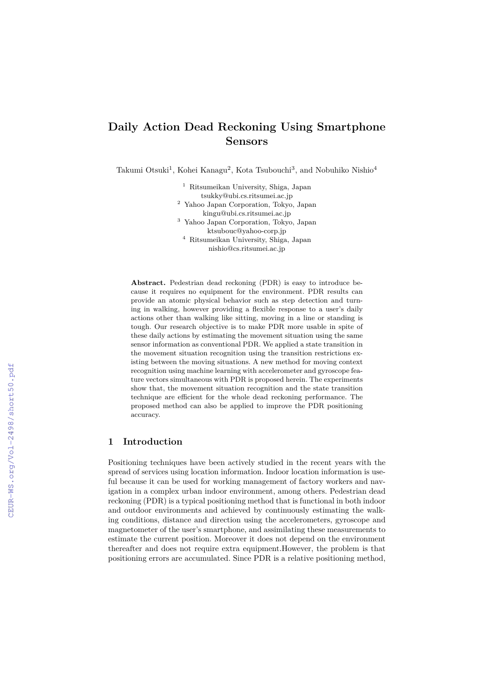# **Daily Action Dead Reckoning Using Smartphone Sensors**

Takumi Otsuki<sup>1</sup>, Kohei Kanagu<sup>2</sup>, Kota Tsubouchi<sup>3</sup>, and Nobuhiko Nishio<sup>4</sup>

<sup>1</sup> Ritsumeikan University, Shiga, Japan tsukky@ubi.cs.ritsumei.ac.jp <sup>2</sup> Yahoo Japan Corporation, Tokyo, Japan kingu@ubi.cs.ritsumei.ac.jp

<sup>3</sup> Yahoo Japan Corporation, Tokyo, Japan ktsubouc@yahoo-corp.jp

<sup>4</sup> Ritsumeikan University, Shiga, Japan nishio@cs.ritsumei.ac.jp

**Abstract.** Pedestrian dead reckoning (PDR) is easy to introduce because it requires no equipment for the environment. PDR results can provide an atomic physical behavior such as step detection and turning in walking, however providing a flexible response to a user's daily actions other than walking like sitting, moving in a line or standing is tough. Our research objective is to make PDR more usable in spite of these daily actions by estimating the movement situation using the same sensor information as conventional PDR. We applied a state transition in the movement situation recognition using the transition restrictions existing between the moving situations. A new method for moving context recognition using machine learning with accelerometer and gyroscope feature vectors simultaneous with PDR is proposed herein. The experiments show that, the movement situation recognition and the state transition technique are efficient for the whole dead reckoning performance. The proposed method can also be applied to improve the PDR positioning accuracy.

# **1 Introduction**

Positioning techniques have been actively studied in the recent years with the spread of services using location information. Indoor location information is useful because it can be used for working management of factory workers and navigation in a complex urban indoor environment, among others. Pedestrian dead reckoning (PDR) is a typical positioning method that is functional in both indoor and outdoor environments and achieved by continuously estimating the walking conditions, distance and direction using the accelerometers, gyroscope and magnetometer of the user's smartphone, and assimilating these measurements to estimate the current position. Moreover it does not depend on the environment thereafter and does not require extra equipment.However, the problem is that positioning errors are accumulated. Since PDR is a relative positioning method,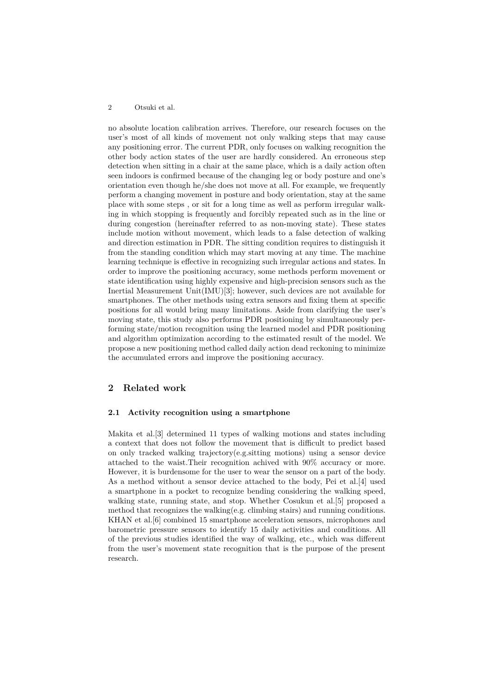no absolute location calibration arrives. Therefore, our research focuses on the user's most of all kinds of movement not only walking steps that may cause any positioning error. The current PDR, only focuses on walking recognition the other body action states of the user are hardly considered. An erroneous step detection when sitting in a chair at the same place, which is a daily action often seen indoors is confirmed because of the changing leg or body posture and one's orientation even though he/she does not move at all. For example, we frequently perform a changing movement in posture and body orientation, stay at the same place with some steps , or sit for a long time as well as perform irregular walking in which stopping is frequently and forcibly repeated such as in the line or during congestion (hereinafter referred to as non-moving state). These states include motion without movement, which leads to a false detection of walking and direction estimation in PDR. The sitting condition requires to distinguish it from the standing condition which may start moving at any time. The machine learning technique is efective in recognizing such irregular actions and states. In order to improve the positioning accuracy, some methods perform movement or state identification using highly expensive and high-precision sensors such as the Inertial Measurement Unit(IMU)[3]; however, such devices are not available for smartphones. The other methods using extra sensors and fixing them at specific positions for all would bring many limitations. Aside from clarifying the user's moving state, this study also performs PDR positioning by simultaneously performing state/motion recognition using the learned model and PDR positioning and algorithm optimization according to the estimated result of the model. We propose a new positioning method called daily action dead reckoning to minimize the accumulated errors and improve the positioning accuracy.

## **2 Related work**

#### **2.1 Activity recognition using a smartphone**

Makita et al.[3] determined 11 types of walking motions and states including a context that does not follow the movement that is difficult to predict based on only tracked walking trajectory(e.g.sitting motions) using a sensor device attached to the waist.Their recognition achived with 90% accuracy or more. However, it is burdensome for the user to wear the sensor on a part of the body. As a method without a sensor device attached to the body, Pei et al.[4] used a smartphone in a pocket to recognize bending considering the walking speed, walking state, running state, and stop. Whether Cosukun et al. [5] proposed a method that recognizes the walking(e.g. climbing stairs) and running conditions. KHAN et al.[6] combined 15 smartphone acceleration sensors, microphones and barometric pressure sensors to identify 15 daily activities and conditions. All of the previous studies identiied the way of walking, etc., which was diferent from the user's movement state recognition that is the purpose of the present research.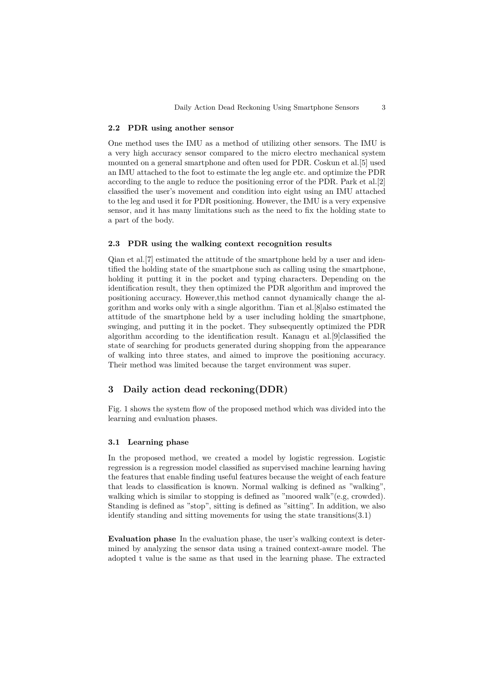#### **2.2 PDR using another sensor**

One method uses the IMU as a method of utilizing other sensors. The IMU is a very high accuracy sensor compared to the micro electro mechanical system mounted on a general smartphone and often used for PDR. Coskun et al.[5] used an IMU attached to the foot to estimate the leg angle etc. and optimize the PDR according to the angle to reduce the positioning error of the PDR. Park et al.[2] classiied the user's movement and condition into eight using an IMU attached to the leg and used it for PDR positioning. However, the IMU is a very expensive sensor, and it has many limitations such as the need to ix the holding state to a part of the body.

#### **2.3 PDR using the walking context recognition results**

Qian et al.[7] estimated the attitude of the smartphone held by a user and identiied the holding state of the smartphone such as calling using the smartphone, holding it putting it in the pocket and typing characters. Depending on the identiication result, they then optimized the PDR algorithm and improved the positioning accuracy. However,this method cannot dynamically change the algorithm and works only with a single algorithm. Tian et al.[8]also estimated the attitude of the smartphone held by a user including holding the smartphone, swinging, and putting it in the pocket. They subsequently optimized the PDR algorithm according to the identification result. Kanagu et al.<sup>[9]</sup>classified the state of searching for products generated during shopping from the appearance of walking into three states, and aimed to improve the positioning accuracy. Their method was limited because the target environment was super.

# **3 Daily action dead reckoning(DDR)**

Fig. 1 shows the system flow of the proposed method which was divided into the learning and evaluation phases.

## **3.1 Learning phase**

In the proposed method, we created a model by logistic regression. Logistic regression is a regression model classiied as supervised machine learning having the features that enable inding useful features because the weight of each feature that leads to classification is known. Normal walking is defined as "walking", walking which is similar to stopping is defined as "moored walk"(e.g, crowded). Standing is defined as "stop", sitting is defined as "sitting". In addition, we also identify standing and sitting movements for using the state transitions(3.1)

**Evaluation phase** In the evaluation phase, the user's walking context is determined by analyzing the sensor data using a trained context-aware model. The adopted t value is the same as that used in the learning phase. The extracted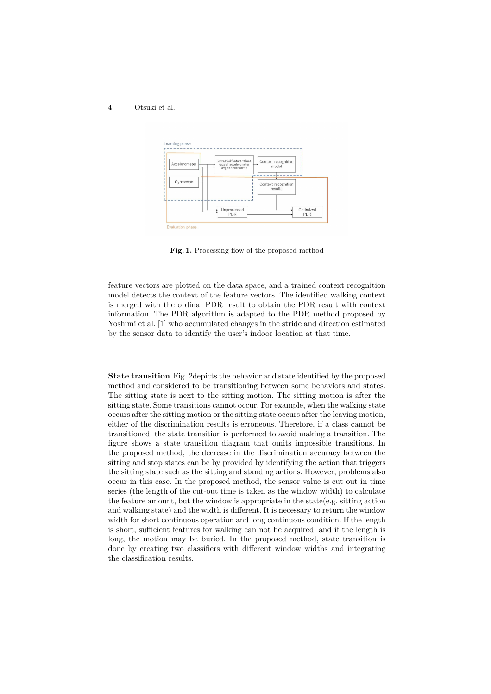

Fig. 1. Processing flow of the proposed method

feature vectors are plotted on the data space, and a trained context recognition model detects the context of the feature vectors. The identiied walking context is merged with the ordinal PDR result to obtain the PDR result with context information. The PDR algorithm is adapted to the PDR method proposed by Yoshimi et al. [1] who accumulated changes in the stride and direction estimated by the sensor data to identify the user's indoor location at that time.

**State transition** Fig. 2depicts the behavior and state identified by the proposed method and considered to be transitioning between some behaviors and states. The sitting state is next to the sitting motion. The sitting motion is after the sitting state. Some transitions cannot occur. For example, when the walking state occurs after the sitting motion or the sitting state occurs after the leaving motion, either of the discrimination results is erroneous. Therefore, if a class cannot be transitioned, the state transition is performed to avoid making a transition. The igure shows a state transition diagram that omits impossible transitions. In the proposed method, the decrease in the discrimination accuracy between the sitting and stop states can be by provided by identifying the action that triggers the sitting state such as the sitting and standing actions. However, problems also occur in this case. In the proposed method, the sensor value is cut out in time series (the length of the cut-out time is taken as the window width) to calculate the feature amount, but the window is appropriate in the state(e.g. sitting action and walking state) and the width is diferent. It is necessary to return the window width for short continuous operation and long continuous condition. If the length is short, sufficient features for walking can not be acquired, and if the length is long, the motion may be buried. In the proposed method, state transition is done by creating two classifiers with different window widths and integrating the classification results.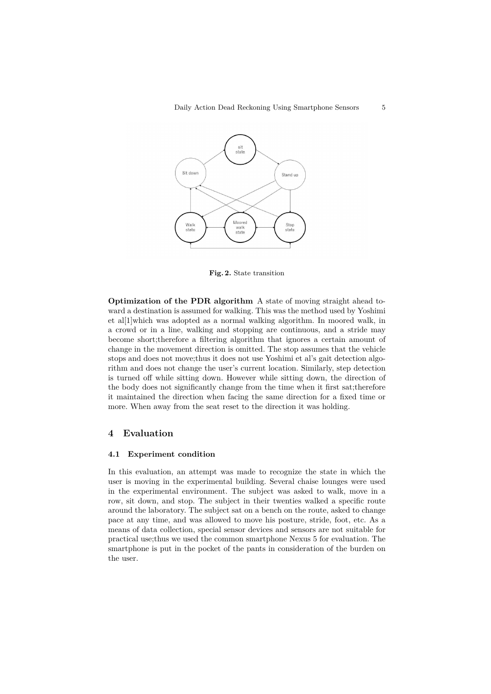

**Fig. 2.** State transition

**Optimization of the PDR algorithm** A state of moving straight ahead toward a destination is assumed for walking. This was the method used by Yoshimi et al[1]which was adopted as a normal walking algorithm. In moored walk, in a crowd or in a line, walking and stopping are continuous, and a stride may become short;therefore a iltering algorithm that ignores a certain amount of change in the movement direction is omitted. The stop assumes that the vehicle stops and does not move;thus it does not use Yoshimi et al's gait detection algorithm and does not change the user's current location. Similarly, step detection is turned off while sitting down. However while sitting down, the direction of the body does not signiicantly change from the time when it irst sat;therefore it maintained the direction when facing the same direction for a ixed time or more. When away from the seat reset to the direction it was holding.

## **4 Evaluation**

#### **4.1 Experiment condition**

In this evaluation, an attempt was made to recognize the state in which the user is moving in the experimental building. Several chaise lounges were used in the experimental environment. The subject was asked to walk, move in a row, sit down, and stop. The subject in their twenties walked a speciic route around the laboratory. The subject sat on a bench on the route, asked to change pace at any time, and was allowed to move his posture, stride, foot, etc. As a means of data collection, special sensor devices and sensors are not suitable for practical use;thus we used the common smartphone Nexus 5 for evaluation. The smartphone is put in the pocket of the pants in consideration of the burden on the user.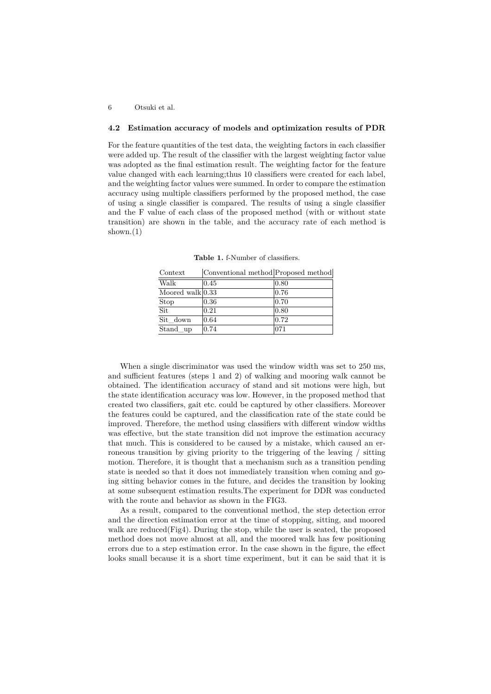#### **4.2 Estimation accuracy of models and optimization results of PDR**

For the feature quantities of the test data, the weighting factors in each classifier were added up. The result of the classifier with the largest weighting factor value was adopted as the final estimation result. The weighting factor for the feature value changed with each learning;thus 10 classiiers were created for each label, and the weighting factor values were summed. In order to compare the estimation accuracy using multiple classiiers performed by the proposed method, the case of using a single classifier is compared. The results of using a single classifier and the F value of each class of the proposed method (with or without state transition) are shown in the table, and the accuracy rate of each method is shown.(1)

| Context             | Conventional method Proposed method |      |
|---------------------|-------------------------------------|------|
| Walk                | 0.45                                | 0.80 |
| Moored walk $ 0.33$ |                                     | 0.76 |
| Stop                | 0.36                                | 0.70 |
| <b>Sit</b>          | 0.21                                | 0.80 |
| Sit down            | 0.64                                | 0.72 |
| Stand up            | 0.74                                | 071  |

Table 1. f-Number of classifiers.

When a single discriminator was used the window width was set to 250 ms, and sufficient features (steps 1 and 2) of walking and mooring walk cannot be obtained. The identiication accuracy of stand and sit motions were high, but the state identiication accuracy was low. However, in the proposed method that created two classiiers, gait etc. could be captured by other classiiers. Moreover the features could be captured, and the classiication rate of the state could be improved. Therefore, the method using classifiers with different window widths was efective, but the state transition did not improve the estimation accuracy that much. This is considered to be caused by a mistake, which caused an erroneous transition by giving priority to the triggering of the leaving / sitting motion. Therefore, it is thought that a mechanism such as a transition pending state is needed so that it does not immediately transition when coming and going sitting behavior comes in the future, and decides the transition by looking at some subsequent estimation results.The experiment for DDR was conducted with the route and behavior as shown in the FIG3.

As a result, compared to the conventional method, the step detection error and the direction estimation error at the time of stopping, sitting, and moored walk are reduced(Fig4). During the stop, while the user is seated, the proposed method does not move almost at all, and the moored walk has few positioning errors due to a step estimation error. In the case shown in the igure, the efect looks small because it is a short time experiment, but it can be said that it is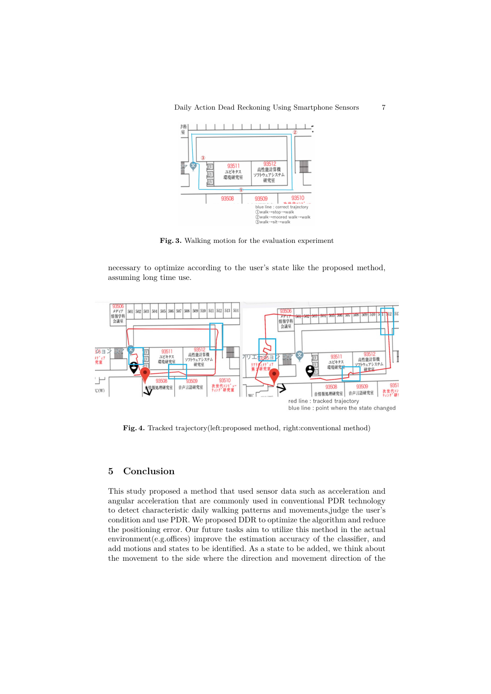Daily Action Dead Reckoning Using Smartphone Sensors 7



**Fig. 3.** Walking motion for the evaluation experiment

necessary to optimize according to the user's state like the proposed method, assuming long time use.



**Fig. 4.** Tracked trajectory(left:proposed method, right:conventional method)

## **5 Conclusion**

This study proposed a method that used sensor data such as acceleration and angular acceleration that are commonly used in conventional PDR technology to detect characteristic daily walking patterns and movements,judge the user's condition and use PDR. We proposed DDR to optimize the algorithm and reduce the positioning error. Our future tasks aim to utilize this method in the actual  $e.g.$  environment $(e.g.$ offices) improve the estimation accuracy of the classifier, and add motions and states to be identiied. As a state to be added, we think about the movement to the side where the direction and movement direction of the